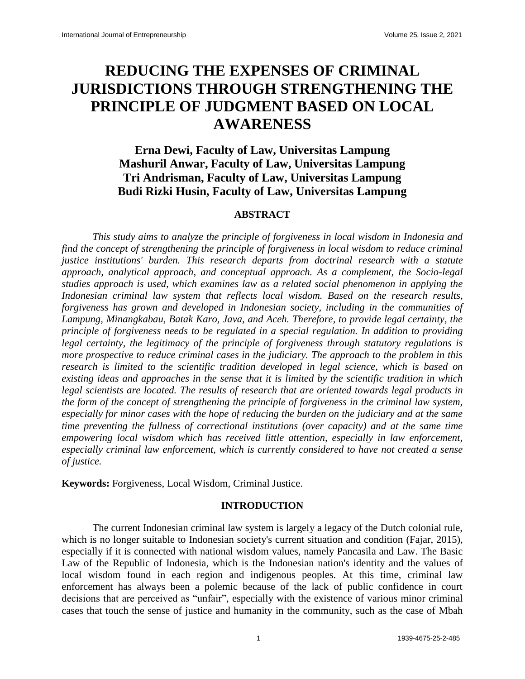# **REDUCING THE EXPENSES OF CRIMINAL JURISDICTIONS THROUGH STRENGTHENING THE PRINCIPLE OF JUDGMENT BASED ON LOCAL AWARENESS**

## **Erna Dewi, Faculty of Law, Universitas Lampung Mashuril Anwar, Faculty of Law, Universitas Lampung Tri Andrisman, Faculty of Law, Universitas Lampung Budi Rizki Husin, Faculty of Law, Universitas Lampung**

### **ABSTRACT**

*This study aims to analyze the principle of forgiveness in local wisdom in Indonesia and find the concept of strengthening the principle of forgiveness in local wisdom to reduce criminal justice institutions' burden. This research departs from doctrinal research with a statute approach, analytical approach, and conceptual approach. As a complement, the Socio-legal studies approach is used, which examines law as a related social phenomenon in applying the Indonesian criminal law system that reflects local wisdom. Based on the research results, forgiveness has grown and developed in Indonesian society, including in the communities of Lampung, Minangkabau, Batak Karo, Java, and Aceh. Therefore, to provide legal certainty, the principle of forgiveness needs to be regulated in a special regulation. In addition to providing legal certainty, the legitimacy of the principle of forgiveness through statutory regulations is more prospective to reduce criminal cases in the judiciary. The approach to the problem in this research is limited to the scientific tradition developed in legal science, which is based on existing ideas and approaches in the sense that it is limited by the scientific tradition in which legal scientists are located. The results of research that are oriented towards legal products in the form of the concept of strengthening the principle of forgiveness in the criminal law system, especially for minor cases with the hope of reducing the burden on the judiciary and at the same time preventing the fullness of correctional institutions (over capacity) and at the same time empowering local wisdom which has received little attention, especially in law enforcement, especially criminal law enforcement, which is currently considered to have not created a sense of justice.*

**Keywords:** Forgiveness, Local Wisdom, Criminal Justice.

### **INTRODUCTION**

The current Indonesian criminal law system is largely a legacy of the Dutch colonial rule, which is no longer suitable to Indonesian society's current situation and condition (Fajar, 2015), especially if it is connected with national wisdom values, namely Pancasila and Law. The Basic Law of the Republic of Indonesia, which is the Indonesian nation's identity and the values of local wisdom found in each region and indigenous peoples. At this time, criminal law enforcement has always been a polemic because of the lack of public confidence in court decisions that are perceived as "unfair", especially with the existence of various minor criminal cases that touch the sense of justice and humanity in the community, such as the case of Mbah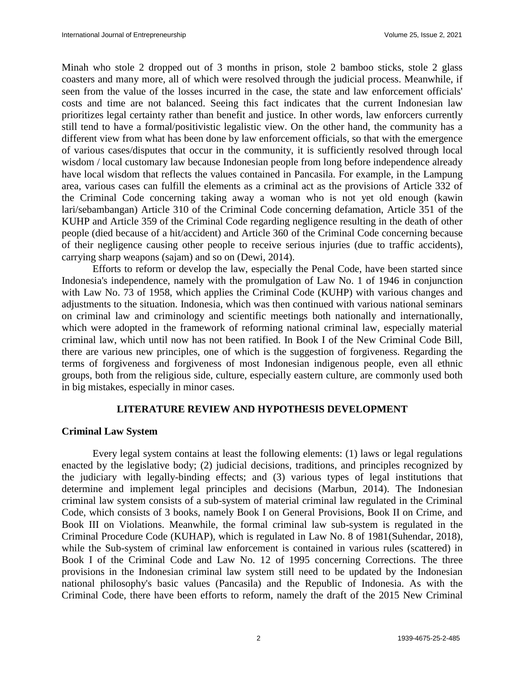Minah who stole 2 dropped out of 3 months in prison, stole 2 bamboo sticks, stole 2 glass coasters and many more, all of which were resolved through the judicial process. Meanwhile, if seen from the value of the losses incurred in the case, the state and law enforcement officials' costs and time are not balanced. Seeing this fact indicates that the current Indonesian law prioritizes legal certainty rather than benefit and justice. In other words, law enforcers currently still tend to have a formal/positivistic legalistic view. On the other hand, the community has a different view from what has been done by law enforcement officials, so that with the emergence of various cases/disputes that occur in the community, it is sufficiently resolved through local wisdom / local customary law because Indonesian people from long before independence already have local wisdom that reflects the values contained in Pancasila. For example, in the Lampung area, various cases can fulfill the elements as a criminal act as the provisions of Article 332 of the Criminal Code concerning taking away a woman who is not yet old enough (kawin lari/sebambangan) Article 310 of the Criminal Code concerning defamation, Article 351 of the KUHP and Article 359 of the Criminal Code regarding negligence resulting in the death of other people (died because of a hit/accident) and Article 360 of the Criminal Code concerning because of their negligence causing other people to receive serious injuries (due to traffic accidents), carrying sharp weapons (sajam) and so on (Dewi, 2014).

Efforts to reform or develop the law, especially the Penal Code, have been started since Indonesia's independence, namely with the promulgation of Law No. 1 of 1946 in conjunction with Law No. 73 of 1958, which applies the Criminal Code (KUHP) with various changes and adjustments to the situation. Indonesia, which was then continued with various national seminars on criminal law and criminology and scientific meetings both nationally and internationally, which were adopted in the framework of reforming national criminal law, especially material criminal law, which until now has not been ratified. In Book I of the New Criminal Code Bill, there are various new principles, one of which is the suggestion of forgiveness. Regarding the terms of forgiveness and forgiveness of most Indonesian indigenous people, even all ethnic groups, both from the religious side, culture, especially eastern culture, are commonly used both in big mistakes, especially in minor cases.

### **LITERATURE REVIEW AND HYPOTHESIS DEVELOPMENT**

### **Criminal Law System**

Every legal system contains at least the following elements: (1) laws or legal regulations enacted by the legislative body; (2) judicial decisions, traditions, and principles recognized by the judiciary with legally-binding effects; and (3) various types of legal institutions that determine and implement legal principles and decisions (Marbun, 2014). The Indonesian criminal law system consists of a sub-system of material criminal law regulated in the Criminal Code, which consists of 3 books, namely Book I on General Provisions, Book II on Crime, and Book III on Violations. Meanwhile, the formal criminal law sub-system is regulated in the Criminal Procedure Code (KUHAP), which is regulated in Law No. 8 of 1981(Suhendar, 2018), while the Sub-system of criminal law enforcement is contained in various rules (scattered) in Book I of the Criminal Code and Law No. 12 of 1995 concerning Corrections. The three provisions in the Indonesian criminal law system still need to be updated by the Indonesian national philosophy's basic values (Pancasila) and the Republic of Indonesia. As with the Criminal Code, there have been efforts to reform, namely the draft of the 2015 New Criminal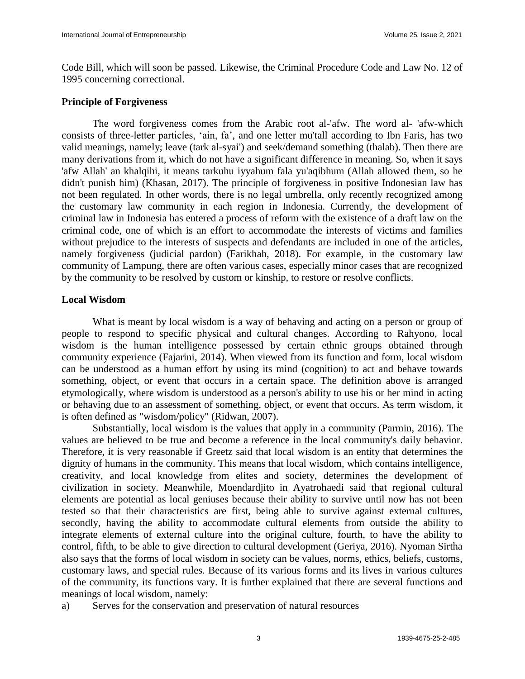Code Bill, which will soon be passed. Likewise, the Criminal Procedure Code and Law No. 12 of 1995 concerning correctional.

### **Principle of Forgiveness**

The word forgiveness comes from the Arabic root al-'afw. The word al- 'afw-which consists of three-letter particles, "ain, fa", and one letter mu'tall according to Ibn Faris, has two valid meanings, namely; leave (tark al-syai') and seek/demand something (thalab). Then there are many derivations from it, which do not have a significant difference in meaning. So, when it says 'afw Allah' an khalqihi, it means tarkuhu iyyahum fala yu'aqibhum (Allah allowed them, so he didn't punish him) (Khasan, 2017). The principle of forgiveness in positive Indonesian law has not been regulated. In other words, there is no legal umbrella, only recently recognized among the customary law community in each region in Indonesia. Currently, the development of criminal law in Indonesia has entered a process of reform with the existence of a draft law on the criminal code, one of which is an effort to accommodate the interests of victims and families without prejudice to the interests of suspects and defendants are included in one of the articles, namely forgiveness (judicial pardon) (Farikhah, 2018). For example, in the customary law community of Lampung, there are often various cases, especially minor cases that are recognized by the community to be resolved by custom or kinship, to restore or resolve conflicts.

### **Local Wisdom**

What is meant by local wisdom is a way of behaving and acting on a person or group of people to respond to specific physical and cultural changes. According to Rahyono, local wisdom is the human intelligence possessed by certain ethnic groups obtained through community experience (Fajarini, 2014). When viewed from its function and form, local wisdom can be understood as a human effort by using its mind (cognition) to act and behave towards something, object, or event that occurs in a certain space. The definition above is arranged etymologically, where wisdom is understood as a person's ability to use his or her mind in acting or behaving due to an assessment of something, object, or event that occurs. As term wisdom, it is often defined as "wisdom/policy" (Ridwan, 2007).

Substantially, local wisdom is the values that apply in a community (Parmin, 2016). The values are believed to be true and become a reference in the local community's daily behavior. Therefore, it is very reasonable if Greetz said that local wisdom is an entity that determines the dignity of humans in the community. This means that local wisdom, which contains intelligence, creativity, and local knowledge from elites and society, determines the development of civilization in society. Meanwhile, Moendardjito in Ayatrohaedi said that regional cultural elements are potential as local geniuses because their ability to survive until now has not been tested so that their characteristics are first, being able to survive against external cultures, secondly, having the ability to accommodate cultural elements from outside the ability to integrate elements of external culture into the original culture, fourth, to have the ability to control, fifth, to be able to give direction to cultural development (Geriya, 2016). Nyoman Sirtha also says that the forms of local wisdom in society can be values, norms, ethics, beliefs, customs, customary laws, and special rules. Because of its various forms and its lives in various cultures of the community, its functions vary. It is further explained that there are several functions and meanings of local wisdom, namely:

a) Serves for the conservation and preservation of natural resources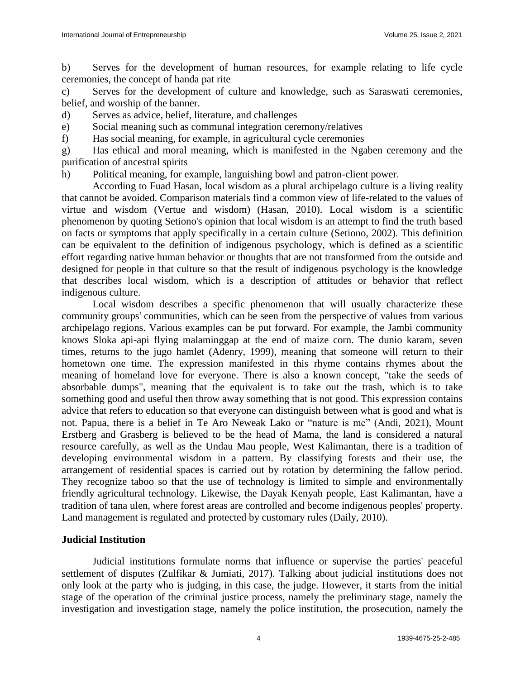b) Serves for the development of human resources, for example relating to life cycle ceremonies, the concept of handa pat rite

c) Serves for the development of culture and knowledge, such as Saraswati ceremonies, belief, and worship of the banner.

d) Serves as advice, belief, literature, and challenges

e) Social meaning such as communal integration ceremony/relatives

f) Has social meaning, for example, in agricultural cycle ceremonies

g) Has ethical and moral meaning, which is manifested in the Ngaben ceremony and the purification of ancestral spirits

h) Political meaning, for example, languishing bowl and patron-client power.

According to Fuad Hasan, local wisdom as a plural archipelago culture is a living reality that cannot be avoided. Comparison materials find a common view of life-related to the values of virtue and wisdom (Vertue and wisdom) (Hasan, 2010). Local wisdom is a scientific phenomenon by quoting Setiono's opinion that local wisdom is an attempt to find the truth based on facts or symptoms that apply specifically in a certain culture (Setiono, 2002). This definition can be equivalent to the definition of indigenous psychology, which is defined as a scientific effort regarding native human behavior or thoughts that are not transformed from the outside and designed for people in that culture so that the result of indigenous psychology is the knowledge that describes local wisdom, which is a description of attitudes or behavior that reflect indigenous culture.

Local wisdom describes a specific phenomenon that will usually characterize these community groups' communities, which can be seen from the perspective of values from various archipelago regions. Various examples can be put forward. For example, the Jambi community knows Sloka api-api flying malaminggap at the end of maize corn. The dunio karam, seven times, returns to the jugo hamlet (Adenry, 1999), meaning that someone will return to their hometown one time. The expression manifested in this rhyme contains rhymes about the meaning of homeland love for everyone. There is also a known concept, "take the seeds of absorbable dumps", meaning that the equivalent is to take out the trash, which is to take something good and useful then throw away something that is not good. This expression contains advice that refers to education so that everyone can distinguish between what is good and what is not. Papua, there is a belief in Te Aro Neweak Lako or "nature is me" (Andi, 2021), Mount Erstberg and Grasberg is believed to be the head of Mama, the land is considered a natural resource carefully, as well as the Undau Mau people, West Kalimantan, there is a tradition of developing environmental wisdom in a pattern. By classifying forests and their use, the arrangement of residential spaces is carried out by rotation by determining the fallow period. They recognize taboo so that the use of technology is limited to simple and environmentally friendly agricultural technology. Likewise, the Dayak Kenyah people, East Kalimantan, have a tradition of tana ulen, where forest areas are controlled and become indigenous peoples' property. Land management is regulated and protected by customary rules (Daily, 2010).

### **Judicial Institution**

Judicial institutions formulate norms that influence or supervise the parties' peaceful settlement of disputes (Zulfikar & Jumiati, 2017). Talking about judicial institutions does not only look at the party who is judging, in this case, the judge. However, it starts from the initial stage of the operation of the criminal justice process, namely the preliminary stage, namely the investigation and investigation stage, namely the police institution, the prosecution, namely the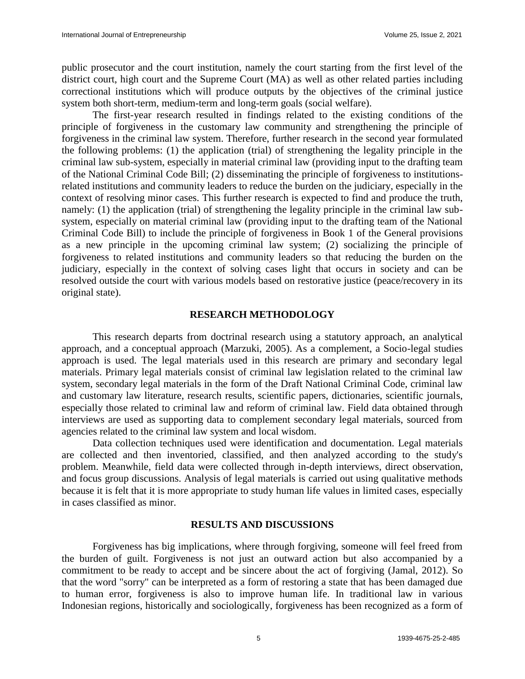public prosecutor and the court institution, namely the court starting from the first level of the district court, high court and the Supreme Court (MA) as well as other related parties including correctional institutions which will produce outputs by the objectives of the criminal justice system both short-term, medium-term and long-term goals (social welfare).

The first-year research resulted in findings related to the existing conditions of the principle of forgiveness in the customary law community and strengthening the principle of forgiveness in the criminal law system. Therefore, further research in the second year formulated the following problems: (1) the application (trial) of strengthening the legality principle in the criminal law sub-system, especially in material criminal law (providing input to the drafting team of the National Criminal Code Bill; (2) disseminating the principle of forgiveness to institutionsrelated institutions and community leaders to reduce the burden on the judiciary, especially in the context of resolving minor cases. This further research is expected to find and produce the truth, namely: (1) the application (trial) of strengthening the legality principle in the criminal law subsystem, especially on material criminal law (providing input to the drafting team of the National Criminal Code Bill) to include the principle of forgiveness in Book 1 of the General provisions as a new principle in the upcoming criminal law system; (2) socializing the principle of forgiveness to related institutions and community leaders so that reducing the burden on the judiciary, especially in the context of solving cases light that occurs in society and can be resolved outside the court with various models based on restorative justice (peace/recovery in its original state).

### **RESEARCH METHODOLOGY**

This research departs from doctrinal research using a statutory approach, an analytical approach, and a conceptual approach (Marzuki, 2005). As a complement, a Socio-legal studies approach is used. The legal materials used in this research are primary and secondary legal materials. Primary legal materials consist of criminal law legislation related to the criminal law system, secondary legal materials in the form of the Draft National Criminal Code, criminal law and customary law literature, research results, scientific papers, dictionaries, scientific journals, especially those related to criminal law and reform of criminal law. Field data obtained through interviews are used as supporting data to complement secondary legal materials, sourced from agencies related to the criminal law system and local wisdom.

Data collection techniques used were identification and documentation. Legal materials are collected and then inventoried, classified, and then analyzed according to the study's problem. Meanwhile, field data were collected through in-depth interviews, direct observation, and focus group discussions. Analysis of legal materials is carried out using qualitative methods because it is felt that it is more appropriate to study human life values in limited cases, especially in cases classified as minor.

### **RESULTS AND DISCUSSIONS**

Forgiveness has big implications, where through forgiving, someone will feel freed from the burden of guilt. Forgiveness is not just an outward action but also accompanied by a commitment to be ready to accept and be sincere about the act of forgiving (Jamal, 2012). So that the word "sorry" can be interpreted as a form of restoring a state that has been damaged due to human error, forgiveness is also to improve human life. In traditional law in various Indonesian regions, historically and sociologically, forgiveness has been recognized as a form of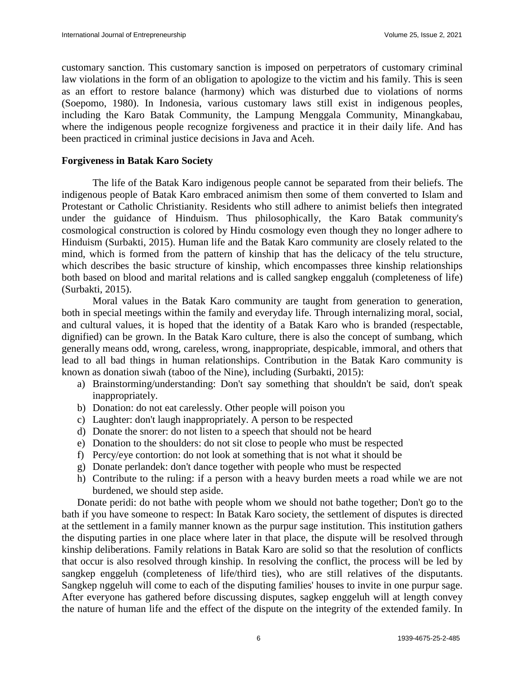customary sanction. This customary sanction is imposed on perpetrators of customary criminal law violations in the form of an obligation to apologize to the victim and his family. This is seen as an effort to restore balance (harmony) which was disturbed due to violations of norms (Soepomo, 1980). In Indonesia, various customary laws still exist in indigenous peoples, including the Karo Batak Community, the Lampung Menggala Community, Minangkabau, where the indigenous people recognize forgiveness and practice it in their daily life. And has been practiced in criminal justice decisions in Java and Aceh.

### **Forgiveness in Batak Karo Society**

The life of the Batak Karo indigenous people cannot be separated from their beliefs. The indigenous people of Batak Karo embraced animism then some of them converted to Islam and Protestant or Catholic Christianity. Residents who still adhere to animist beliefs then integrated under the guidance of Hinduism. Thus philosophically, the Karo Batak community's cosmological construction is colored by Hindu cosmology even though they no longer adhere to Hinduism (Surbakti, 2015). Human life and the Batak Karo community are closely related to the mind, which is formed from the pattern of kinship that has the delicacy of the telu structure, which describes the basic structure of kinship, which encompasses three kinship relationships both based on blood and marital relations and is called sangkep enggaluh (completeness of life) (Surbakti, 2015).

Moral values in the Batak Karo community are taught from generation to generation, both in special meetings within the family and everyday life. Through internalizing moral, social, and cultural values, it is hoped that the identity of a Batak Karo who is branded (respectable, dignified) can be grown. In the Batak Karo culture, there is also the concept of sumbang, which generally means odd, wrong, careless, wrong, inappropriate, despicable, immoral, and others that lead to all bad things in human relationships. Contribution in the Batak Karo community is known as donation siwah (taboo of the Nine), including (Surbakti, 2015):

- a) Brainstorming/understanding: Don't say something that shouldn't be said, don't speak inappropriately.
- b) Donation: do not eat carelessly. Other people will poison you
- c) Laughter: don't laugh inappropriately. A person to be respected
- d) Donate the snorer: do not listen to a speech that should not be heard
- e) Donation to the shoulders: do not sit close to people who must be respected
- f) Percy/eye contortion: do not look at something that is not what it should be
- g) Donate perlandek: don't dance together with people who must be respected
- h) Contribute to the ruling: if a person with a heavy burden meets a road while we are not burdened, we should step aside.

Donate peridi: do not bathe with people whom we should not bathe together; Don't go to the bath if you have someone to respect: In Batak Karo society, the settlement of disputes is directed at the settlement in a family manner known as the purpur sage institution. This institution gathers the disputing parties in one place where later in that place, the dispute will be resolved through kinship deliberations. Family relations in Batak Karo are solid so that the resolution of conflicts that occur is also resolved through kinship. In resolving the conflict, the process will be led by sangkep enggeluh (completeness of life/third ties), who are still relatives of the disputants. Sangkep nggeluh will come to each of the disputing families' houses to invite in one purpur sage. After everyone has gathered before discussing disputes, sagkep enggeluh will at length convey the nature of human life and the effect of the dispute on the integrity of the extended family. In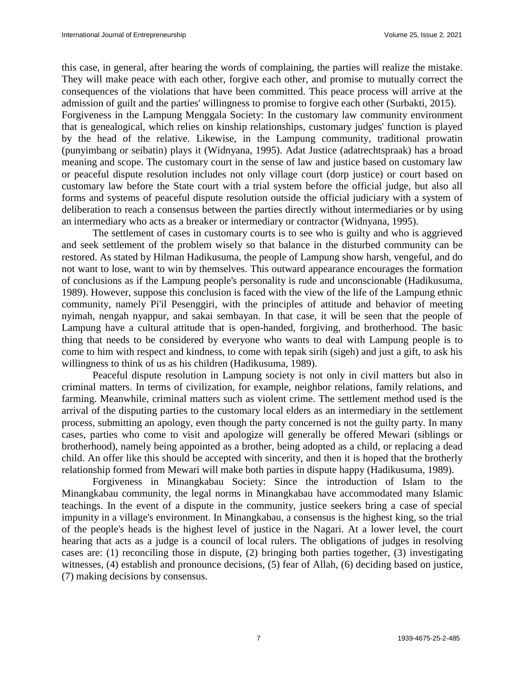this case, in general, after hearing the words of complaining, the parties will realize the mistake. They will make peace with each other, forgive each other, and promise to mutually correct the consequences of the violations that have been committed. This peace process will arrive at the admission of guilt and the parties' willingness to promise to forgive each other (Surbakti, 2015). Forgiveness in the Lampung Menggala Society: In the customary law community environment that is genealogical, which relies on kinship relationships, customary judges' function is played by the head of the relative. Likewise, in the Lampung community, traditional prowatin (punyimbang or seibatin) plays it (Widnyana, 1995). Adat Justice (adatrechtspraak) has a broad meaning and scope. The customary court in the sense of law and justice based on customary law or peaceful dispute resolution includes not only village court (dorp justice) or court based on customary law before the State court with a trial system before the official judge, but also all forms and systems of peaceful dispute resolution outside the official judiciary with a system of deliberation to reach a consensus between the parties directly without intermediaries or by using an intermediary who acts as a breaker or intermediary or contractor (Widnyana, 1995).

The settlement of cases in customary courts is to see who is guilty and who is aggrieved and seek settlement of the problem wisely so that balance in the disturbed community can be restored. As stated by Hilman Hadikusuma, the people of Lampung show harsh, vengeful, and do not want to lose, want to win by themselves. This outward appearance encourages the formation of conclusions as if the Lampung people's personality is rude and unconscionable (Hadikusuma, 1989). However, suppose this conclusion is faced with the view of the life of the Lampung ethnic community, namely Pi'il Pesenggiri, with the principles of attitude and behavior of meeting nyimah, nengah nyappur, and sakai sembayan. In that case, it will be seen that the people of Lampung have a cultural attitude that is open-handed, forgiving, and brotherhood. The basic thing that needs to be considered by everyone who wants to deal with Lampung people is to come to him with respect and kindness, to come with tepak sirih (sigeh) and just a gift, to ask his willingness to think of us as his children (Hadikusuma, 1989).

Peaceful dispute resolution in Lampung society is not only in civil matters but also in criminal matters. In terms of civilization, for example, neighbor relations, family relations, and farming. Meanwhile, criminal matters such as violent crime. The settlement method used is the arrival of the disputing parties to the customary local elders as an intermediary in the settlement process, submitting an apology, even though the party concerned is not the guilty party. In many cases, parties who come to visit and apologize will generally be offered Mewari (siblings or brotherhood), namely being appointed as a brother, being adopted as a child, or replacing a dead child. An offer like this should be accepted with sincerity, and then it is hoped that the brotherly relationship formed from Mewari will make both parties in dispute happy (Hadikusuma, 1989).

Forgiveness in Minangkabau Society: Since the introduction of Islam to the Minangkabau community, the legal norms in Minangkabau have accommodated many Islamic teachings. In the event of a dispute in the community, justice seekers bring a case of special impunity in a village's environment. In Minangkabau, a consensus is the highest king, so the trial of the people's heads is the highest level of justice in the Nagari. At a lower level, the court hearing that acts as a judge is a council of local rulers. The obligations of judges in resolving cases are: (1) reconciling those in dispute, (2) bringing both parties together, (3) investigating witnesses, (4) establish and pronounce decisions, (5) fear of Allah, (6) deciding based on justice, (7) making decisions by consensus.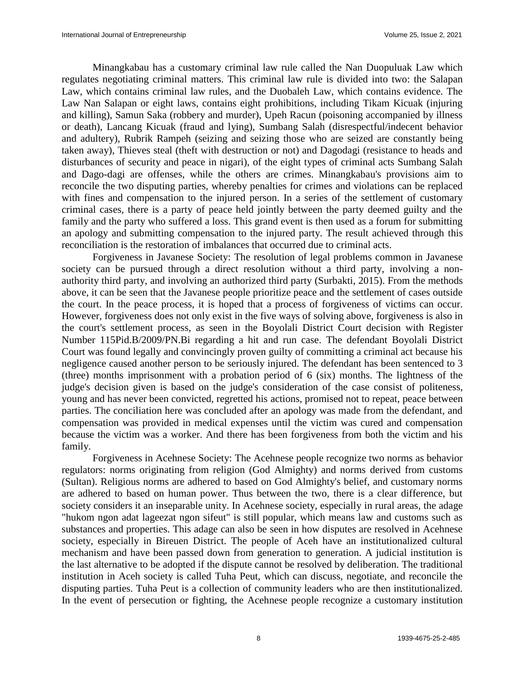Minangkabau has a customary criminal law rule called the Nan Duopuluak Law which regulates negotiating criminal matters. This criminal law rule is divided into two: the Salapan Law, which contains criminal law rules, and the Duobaleh Law, which contains evidence. The Law Nan Salapan or eight laws, contains eight prohibitions, including Tikam Kicuak (injuring and killing), Samun Saka (robbery and murder), Upeh Racun (poisoning accompanied by illness or death), Lancang Kicuak (fraud and lying), Sumbang Salah (disrespectful/indecent behavior and adultery), Rubrik Rampeh (seizing and seizing those who are seized are constantly being taken away), Thieves steal (theft with destruction or not) and Dagodagi (resistance to heads and disturbances of security and peace in nigari), of the eight types of criminal acts Sumbang Salah and Dago-dagi are offenses, while the others are crimes. Minangkabau's provisions aim to reconcile the two disputing parties, whereby penalties for crimes and violations can be replaced with fines and compensation to the injured person. In a series of the settlement of customary criminal cases, there is a party of peace held jointly between the party deemed guilty and the family and the party who suffered a loss. This grand event is then used as a forum for submitting an apology and submitting compensation to the injured party. The result achieved through this reconciliation is the restoration of imbalances that occurred due to criminal acts.

Forgiveness in Javanese Society: The resolution of legal problems common in Javanese society can be pursued through a direct resolution without a third party, involving a nonauthority third party, and involving an authorized third party (Surbakti, 2015). From the methods above, it can be seen that the Javanese people prioritize peace and the settlement of cases outside the court. In the peace process, it is hoped that a process of forgiveness of victims can occur. However, forgiveness does not only exist in the five ways of solving above, forgiveness is also in the court's settlement process, as seen in the Boyolali District Court decision with Register Number 115Pid.B/2009/PN.Bi regarding a hit and run case. The defendant Boyolali District Court was found legally and convincingly proven guilty of committing a criminal act because his negligence caused another person to be seriously injured. The defendant has been sentenced to 3 (three) months imprisonment with a probation period of 6 (six) months. The lightness of the judge's decision given is based on the judge's consideration of the case consist of politeness, young and has never been convicted, regretted his actions, promised not to repeat, peace between parties. The conciliation here was concluded after an apology was made from the defendant, and compensation was provided in medical expenses until the victim was cured and compensation because the victim was a worker. And there has been forgiveness from both the victim and his family.

Forgiveness in Acehnese Society: The Acehnese people recognize two norms as behavior regulators: norms originating from religion (God Almighty) and norms derived from customs (Sultan). Religious norms are adhered to based on God Almighty's belief, and customary norms are adhered to based on human power. Thus between the two, there is a clear difference, but society considers it an inseparable unity. In Acehnese society, especially in rural areas, the adage "hukom ngon adat lageezat ngon sifeut" is still popular, which means law and customs such as substances and properties. This adage can also be seen in how disputes are resolved in Acehnese society, especially in Bireuen District. The people of Aceh have an institutionalized cultural mechanism and have been passed down from generation to generation. A judicial institution is the last alternative to be adopted if the dispute cannot be resolved by deliberation. The traditional institution in Aceh society is called Tuha Peut, which can discuss, negotiate, and reconcile the disputing parties. Tuha Peut is a collection of community leaders who are then institutionalized. In the event of persecution or fighting, the Acehnese people recognize a customary institution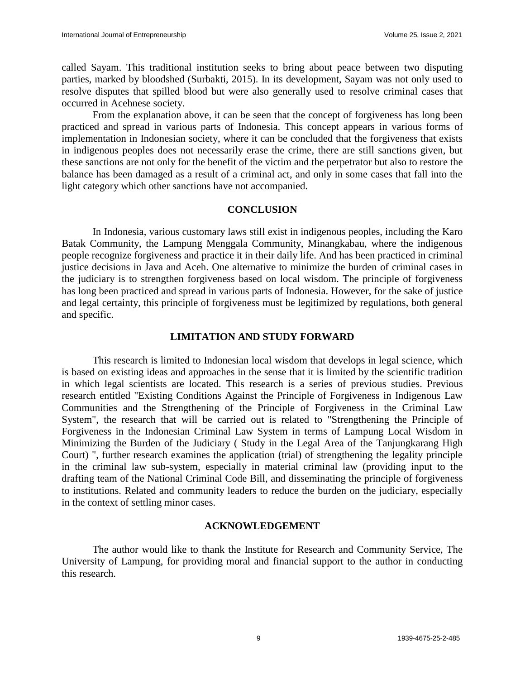called Sayam. This traditional institution seeks to bring about peace between two disputing parties, marked by bloodshed (Surbakti, 2015). In its development, Sayam was not only used to resolve disputes that spilled blood but were also generally used to resolve criminal cases that occurred in Acehnese society.

From the explanation above, it can be seen that the concept of forgiveness has long been practiced and spread in various parts of Indonesia. This concept appears in various forms of implementation in Indonesian society, where it can be concluded that the forgiveness that exists in indigenous peoples does not necessarily erase the crime, there are still sanctions given, but these sanctions are not only for the benefit of the victim and the perpetrator but also to restore the balance has been damaged as a result of a criminal act, and only in some cases that fall into the light category which other sanctions have not accompanied.

### **CONCLUSION**

In Indonesia, various customary laws still exist in indigenous peoples, including the Karo Batak Community, the Lampung Menggala Community, Minangkabau, where the indigenous people recognize forgiveness and practice it in their daily life. And has been practiced in criminal justice decisions in Java and Aceh. One alternative to minimize the burden of criminal cases in the judiciary is to strengthen forgiveness based on local wisdom. The principle of forgiveness has long been practiced and spread in various parts of Indonesia. However, for the sake of justice and legal certainty, this principle of forgiveness must be legitimized by regulations, both general and specific.

### **LIMITATION AND STUDY FORWARD**

This research is limited to Indonesian local wisdom that develops in legal science, which is based on existing ideas and approaches in the sense that it is limited by the scientific tradition in which legal scientists are located. This research is a series of previous studies. Previous research entitled "Existing Conditions Against the Principle of Forgiveness in Indigenous Law Communities and the Strengthening of the Principle of Forgiveness in the Criminal Law System", the research that will be carried out is related to "Strengthening the Principle of Forgiveness in the Indonesian Criminal Law System in terms of Lampung Local Wisdom in Minimizing the Burden of the Judiciary ( Study in the Legal Area of the Tanjungkarang High Court) ", further research examines the application (trial) of strengthening the legality principle in the criminal law sub-system, especially in material criminal law (providing input to the drafting team of the National Criminal Code Bill, and disseminating the principle of forgiveness to institutions. Related and community leaders to reduce the burden on the judiciary, especially in the context of settling minor cases.

### **ACKNOWLEDGEMENT**

The author would like to thank the Institute for Research and Community Service, The University of Lampung, for providing moral and financial support to the author in conducting this research.